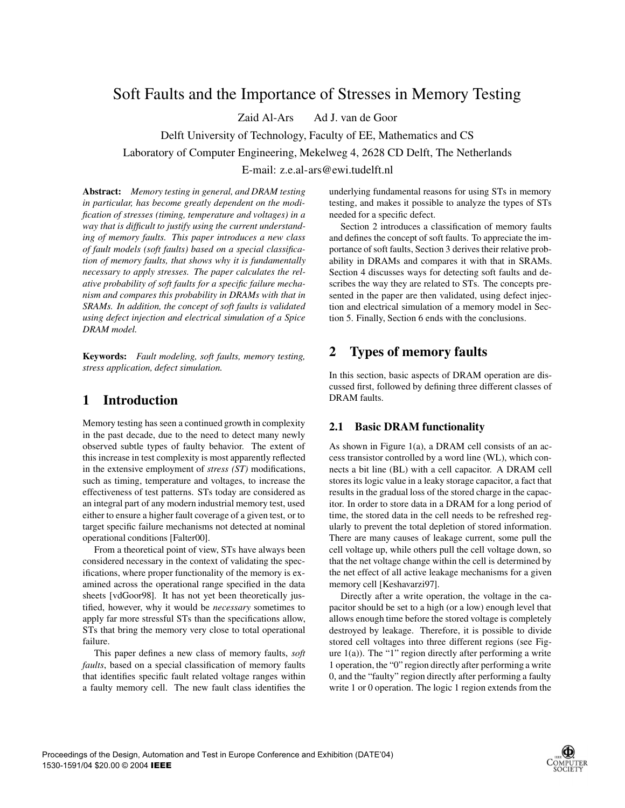# Soft Faults and the Importance of Stresses in Memory Testing

Zaid Al-Ars Ad J. van de Goor

Delft University of Technology, Faculty of EE, Mathematics and CS

Laboratory of Computer Engineering, Mekelweg 4, 2628 CD Delft, The Netherlands

E-mail: z.e.al-ars@ewi.tudelft.nl

**Abstract:** *Memory testing in general, and DRAM testing in particular, has become greatly dependent on the modification of stresses (timing, temperature and voltages) in a way that is difficult to justify using the current understanding of memory faults. This paper introduces a new class of fault models (soft faults) based on a special classification of memory faults, that shows why it is fundamentally necessary to apply stresses. The paper calculates the relative probability of soft faults for a specific failure mechanism and compares this probability in DRAMs with that in SRAMs. In addition, the concept of soft faults is validated using defect injection and electrical simulation of a Spice DRAM model.*

**Keywords:** *Fault modeling, soft faults, memory testing, stress application, defect simulation.*

# **1 Introduction**

Memory testing has seen a continued growth in complexity in the past decade, due to the need to detect many newly observed subtle types of faulty behavior. The extent of this increase in test complexity is most apparently reflected in the extensive employment of *stress (ST)* modifications, such as timing, temperature and voltages, to increase the effectiveness of test patterns. STs today are considered as an integral part of any modern industrial memory test, used either to ensure a higher fault coverage of a given test, or to target specific failure mechanisms not detected at nominal operational conditions [Falter00].

From a theoretical point of view, STs have always been considered necessary in the context of validating the specifications, where proper functionality of the memory is examined across the operational range specified in the data sheets [vdGoor98]. It has not yet been theoretically justified, however, why it would be *necessary* sometimes to apply far more stressful STs than the specifications allow, STs that bring the memory very close to total operational failure.

This paper defines a new class of memory faults, *soft faults*, based on a special classification of memory faults that identifies specific fault related voltage ranges within a faulty memory cell. The new fault class identifies the underlying fundamental reasons for using STs in memory testing, and makes it possible to analyze the types of STs needed for a specific defect.

Section 2 introduces a classification of memory faults and defines the concept of soft faults. To appreciate the importance of soft faults, Section 3 derives their relative probability in DRAMs and compares it with that in SRAMs. Section 4 discusses ways for detecting soft faults and describes the way they are related to STs. The concepts presented in the paper are then validated, using defect injection and electrical simulation of a memory model in Section 5. Finally, Section 6 ends with the conclusions.

# **2 Types of memory faults**

In this section, basic aspects of DRAM operation are discussed first, followed by defining three different classes of DRAM faults.

# **2.1 Basic DRAM functionality**

As shown in Figure 1(a), a DRAM cell consists of an access transistor controlled by a word line (WL), which connects a bit line (BL) with a cell capacitor. A DRAM cell stores its logic value in a leaky storage capacitor, a fact that results in the gradual loss of the stored charge in the capacitor. In order to store data in a DRAM for a long period of time, the stored data in the cell needs to be refreshed regularly to prevent the total depletion of stored information. There are many causes of leakage current, some pull the cell voltage up, while others pull the cell voltage down, so that the net voltage change within the cell is determined by the net effect of all active leakage mechanisms for a given memory cell [Keshavarzi97].

Directly after a write operation, the voltage in the capacitor should be set to a high (or a low) enough level that allows enough time before the stored voltage is completely destroyed by leakage. Therefore, it is possible to divide stored cell voltages into three different regions (see Figure  $1(a)$ ). The "1" region directly after performing a write 1 operation, the "0" region directly after performing a write 0, and the "faulty" region directly after performing a faulty write 1 or 0 operation. The logic 1 region extends from the

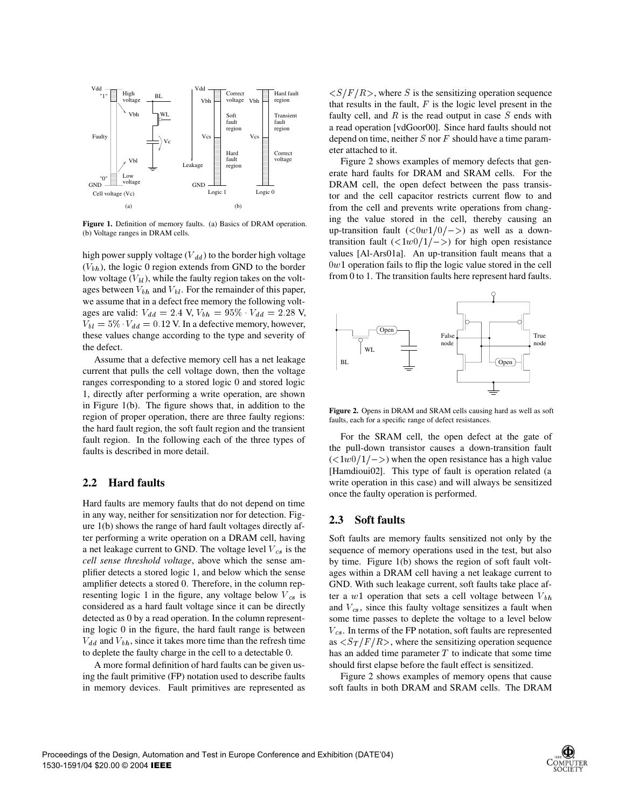

**Figure 1.** Definition of memory faults. (a) Basics of DRAM operation. (b) Voltage ranges in DRAM cells.

high power supply voltage  $(V_{dd})$  to the border high voltage  $(V_{bh})$ , the logic 0 region extends from GND to the border low voltage  $(V_{bl})$ , while the faulty region takes on the voltages between  $V_{bh}$  and  $V_{bl}$ . For the remainder of this paper, we assume that in a defect free memory the following voltages are valid:  $V_{dd} = 2.4 \text{ V}, V_{bh} = 95\% \cdot V_{dd} = 2.28 \text{ V},$  $V_{bl} = 5\% \cdot V_{dd} = 0.12$  V. In a defective memory, however, these values change according to the type and severity of the defect.

Assume that a defective memory cell has a net leakage current that pulls the cell voltage down, then the voltage ranges corresponding to a stored logic 0 and stored logic 1, directly after performing a write operation, are shown in Figure 1(b). The figure shows that, in addition to the region of proper operation, there are three faulty regions: the hard fault region, the soft fault region and the transient fault region. In the following each of the three types of faults is described in more detail.

## **2.2 Hard faults**

Hard faults are memory faults that do not depend on time in any way, neither for sensitization nor for detection. Figure 1(b) shows the range of hard fault voltages directly after performing a write operation on a DRAM cell, having a net leakage current to GND. The voltage level  $V_{cs}$  is the *cell sense threshold voltage*, above which the sense amplifier detects a stored logic 1, and below which the sense amplifier detects a stored 0. Therefore, in the column representing logic 1 in the figure, any voltage below  $V_{cs}$  is considered as a hard fault voltage since it can be directly detected as 0 by a read operation. In the column representing logic 0 in the figure, the hard fault range is between  $V_{dd}$  and  $V_{bh}$ , since it takes more time than the refresh time to deplete the faulty charge in the cell to a detectable 0.

A more formal definition of hard faults can be given using the fault primitive (FP) notation used to describe faults in memory devices. Fault primitives are represented as

 $\langle S/F/R \rangle$ , where S is the sensitizing operation sequence that results in the fault,  $F$  is the logic level present in the faulty cell, and  $R$  is the read output in case  $S$  ends with a read operation [vdGoor00]. Since hard faults should not depend on time, neither  $S$  nor  $F$  should have a time parameter attached to it.

Figure 2 shows examples of memory defects that generate hard faults for DRAM and SRAM cells. For the DRAM cell, the open defect between the pass transistor and the cell capacitor restricts current flow to and from the cell and prevents write operations from changing the value stored in the cell, thereby causing an up-transition fault  $\left(\frac{<0w1}{0}\right)$  as well as a downtransition fault  $\left(\frac{1}{w}\right)\left(\frac{1}{-\varepsilon}\right)$  for high open resistance values [Al-Ars01a]. An up-transition fault means that a  $0w1$  operation fails to flip the logic value stored in the cell from 0 to 1. The transition faults here represent hard faults.



**Figure 2.** Opens in DRAM and SRAM cells causing hard as well as soft faults, each for a specific range of defect resistances.

For the SRAM cell, the open defect at the gate of the pull-down transistor causes a down-transition fault  $\left(\langle 1 \cdot w \cdot 0/1/\rangle \right)$  when the open resistance has a high value [Hamdioui02]. This type of fault is operation related (a write operation in this case) and will always be sensitized once the faulty operation is performed.

### **2.3 Soft faults**

Soft faults are memory faults sensitized not only by the sequence of memory operations used in the test, but also by time. Figure 1(b) shows the region of soft fault voltages within a DRAM cell having a net leakage current to GND. With such leakage current, soft faults take place after a  $w1$  operation that sets a cell voltage between  $V_{bh}$ and  $V_{cs}$ , since this faulty voltage sensitizes a fault when some time passes to deplete the voltage to a level below  $V_{cs}$ . In terms of the FP notation, soft faults are represented as  $\langle S_T/F/R \rangle$ , where the sensitizing operation sequence has an added time parameter  $T$  to indicate that some time should first elapse before the fault effect is sensitized.

Figure 2 shows examples of memory opens that cause soft faults in both DRAM and SRAM cells. The DRAM

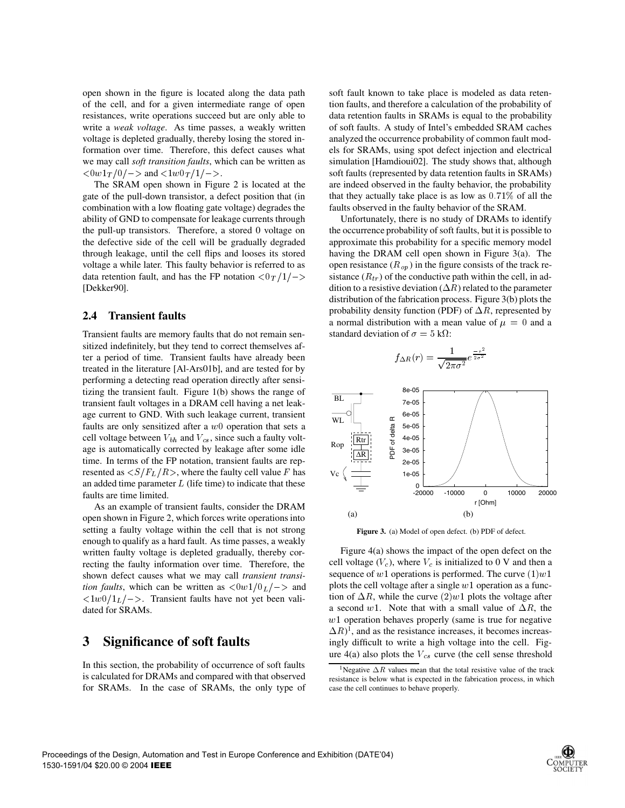open shown in the figure is located along the data path of the cell, and for a given intermediate range of open resistances, write operations succeed but are only able to write a *weak voltage*. As time passes, a weakly written voltage is depleted gradually, thereby losing the stored information over time. Therefore, this defect causes what we may call *soft transition faults*, which can be written as  $\langle 0w1_T/0| \rangle$  and  $\langle 1w0_T/1| \rangle$ .

The SRAM open shown in Figure 2 is located at the gate of the pull-down transistor, a defect position that (in combination with a low floating gate voltage) degrades the ability of GND to compensate for leakage currents through the pull-up transistors. Therefore, a stored 0 voltage on the defective side of the cell will be gradually degraded through leakage, until the cell flips and looses its stored voltage a while later. This faulty behavior is referred to as data retention fault, and has the FP notation  $\langle 0|T/1| \rangle$ [Dekker90].

#### **2.4 Transient faults**

Transient faults are memory faults that do not remain sensitized indefinitely, but they tend to correct themselves after a period of time. Transient faults have already been treated in the literature [Al-Ars01b], and are tested for by performing a detecting read operation directly after sensitizing the transient fault. Figure 1(b) shows the range of transient fault voltages in a DRAM cell having a net leakage current to GND. With such leakage current, transient faults are only sensitized after a  $w0$  operation that sets a cell voltage between  $V_{bh}$  and  $V_{cs}$ , since such a faulty voltage is automatically corrected by leakage after some idle time. In terms of the FP notation, transient faults are represented as  $\langle S/F_L/R \rangle$ , where the faulty cell value F has  $V_0$ an added time parameter  $L$  (life time) to indicate that these faults are time limited.

As an example of transient faults, consider the DRAM open shown in Figure 2, which forces write operations into setting a faulty voltage within the cell that is not strong enough to qualify as a hard fault. As time passes, a weakly written faulty voltage is depleted gradually, thereby correcting the faulty information over time. Therefore, the shown defect causes what we may call *transient transition faults*, which can be written as  $\langle 0w1/0_L \rangle$  and plots  $\langle 1w0/1<sub>L</sub>/\rangle$ . Transient faults have not yet been validated for SRAMs.

# **3 Significance of soft faults**

In this section, the probability of occurrence of soft faults is calculated for DRAMs and compared with that observed for SRAMs. In the case of SRAMs, the only type of soft fault known to take place is modeled as data retention faults, and therefore a calculation of the probability of data retention faults in SRAMs is equal to the probability of soft faults. A study of Intel's embedded SRAM caches analyzed the occurrence probability of common fault models for SRAMs, using spot defect injection and electrical simulation [Hamdioui02]. The study shows that, although soft faults (represented by data retention faults in SRAMs) are indeed observed in the faulty behavior, the probability that they actually take place is as low as  $0.71\%$  of all the faults observed in the faulty behavior of the SRAM.

 $\Rightarrow$  sistance  $(R_{tr})$  of the conductive path within the cell, in ad-Unfortunately, there is no study of DRAMs to identify the occurrence probability of soft faults, but it is possible to approximate this probability for a specific memory model having the DRAM cell open shown in Figure 3(a). The open resistance  $(R_{op})$  in the figure consists of the track redition to a resistive deviation  $(\Delta R)$  related to the parameter distribution of the fabrication process. Figure 3(b) plots the probability density function (PDF) of  $\Delta R$ , represented by a normal distribution with a mean value of  $\mu = 0$  and a standard deviation of  $\sigma = 5$  k $\Omega$ :

$$
f_{\Delta R}(r) = \frac{1}{\sqrt{2\pi\sigma^2}} e^{\frac{-r^2}{2\sigma^2}}
$$



**Figure 3.** (a) Model of open defect. (b) PDF of defect.

Figure 4(a) shows the impact of the open defect on the cell voltage  $(V_c)$ , where  $V_c$  is initialized to 0 V and then a sequence of  $w1$  operations is performed. The curve  $(1)w1$ plots the cell voltage after a single  $w1$  operation as a function of  $\Delta R$ , while the curve  $(2)w1$  plots the voltage after a second w1. Note that with a small value of  $\Delta R$ , the  $w1$  operation behaves properly (same is true for negative  $(\Delta R)^1$ , and as the resistance increases, it becomes increasingly difficult to write a high voltage into the cell. Figure 4(a) also plots the  $V_{cs}$  curve (the cell sense threshold



<sup>&</sup>lt;sup>1</sup>Negative  $\Delta R$  values mean that the total resistive value of the track resistance is below what is expected in the fabrication process, in which case the cell continues to behave properly.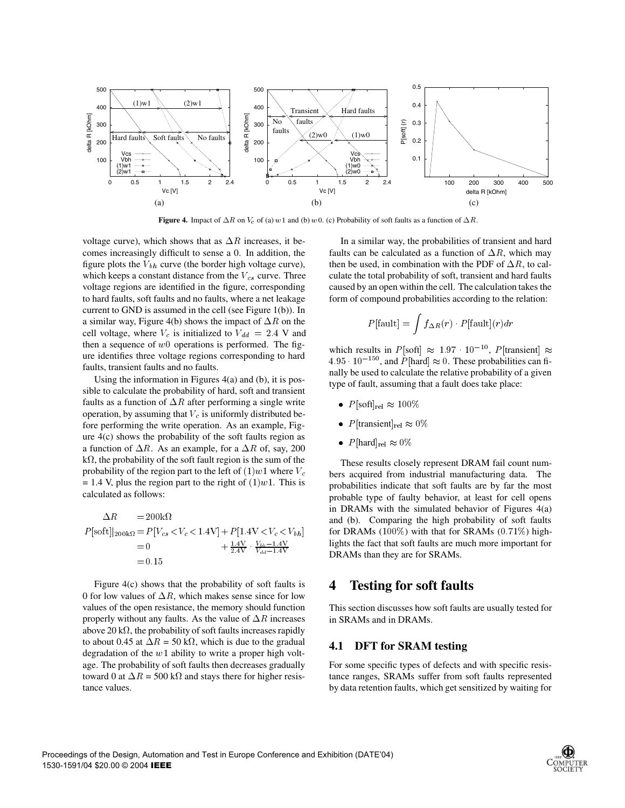

**Figure 4.** Impact of  $\Delta R$  on  $V_c$  of (a)  $w1$  and (b)  $w0$ . (c) Probability of soft faults as a function of  $\Delta R$ .

voltage curve), which shows that as  $\Delta R$  increases, it becomes increasingly difficult to sense a 0. In addition, the figure plots the  $V_{bh}$  curve (the border high voltage curve), which keeps a constant distance from the  $V_{cs}$  curve. Three voltage regions are identified in the figure, corresponding to hard faults, soft faults and no faults, where a net leakage current to GND is assumed in the cell (see Figure 1(b)). In a similar way, Figure 4(b) shows the impact of  $\Delta R$  on the cell voltage, where  $V_c$  is initialized to  $V_{dd} = 2.4$  V and then a sequence of  $w0$  operations is performed. The figure identifies three voltage regions corresponding to hard faults, transient faults and no faults.

Using the information in Figures 4(a) and (b), it is possible to calculate the probability of hard, soft and transient faults as a function of  $\Delta R$  after performing a single write operation, by assuming that  $V_c$  is uniformly distributed before performing the write operation. As an example, Figure 4(c) shows the probability of the soft faults region as a function of  $\Delta R$ . As an example, for a  $\Delta R$  of, say, 200  $k\Omega$ , the probability of the soft fault region is the sum of the probability of the region part to the left of  $(1)w1$  where  $V_c$ = 1.4 V, plus the region part to the right of  $(1)$  w1. This is calculated as follows:

$$
\Delta R = 200 \text{k}\Omega \qquad \text{a}
$$
\n
$$
P[\text{soft}]|_{200\text{k}\Omega} = P[V_{cs} < V_c < 1.4\text{V}] + P[1.4\text{V} < V_c < V_{bh}] \qquad \text{f}
$$
\n
$$
= 0 \qquad \qquad + \frac{1.4\text{V}}{2.4\text{V}} \cdot \frac{V_{bh} - 1.4\text{V}}{V_{dd} - 1.4\text{V}} \qquad \text{I}
$$
\n
$$
= 0.15
$$

Figure 4(c) shows that the probability of soft faults is 0 for low values of  $\Delta R$ , which makes sense since for low values of the open resistance, the memory should function properly without any faults. As the value of  $\Delta R$  increases above 20 k $\Omega$ , the probability of soft faults increases rapidly to about 0.45 at  $\Delta R = 50 \text{ k}\Omega$ , which is due to the gradual degradation of the  $w1$  ability to write a proper high voltage. The probability of soft faults then decreases gradually toward 0 at  $\Delta R = 500 \text{ k}\Omega$  and stays there for higher resistance values.

In a similar way, the probabilities of transient and hard faults can be calculated as a function of  $\Delta R$ , which may then be used, in combination with the PDF of  $\Delta R$ , to calculate the total probability of soft, transient and hard faults caused by an open within the cell. The calculation takes the form of compound probabilities according to the relation:

$$
P[\text{fault}] = \int f_{\Delta R}(r) \cdot P[\text{fault}](r) dr
$$

which results in  $P[\text{soft}] \approx 1.97 \cdot 10^{-10}$ ,  $P[\text{transient}] \approx$  $4.95 \cdot 10^{-150}$ , and  $P[\text{hard}] \approx 0$ . These probabilities can finally be used to calculate the relative probability of a given type of fault, assuming that a fault does take place:

- $P[\text{soft}]_{\text{rel}} \approx 100\%$
- P[transient]<sub>rel</sub>  $\approx 0\%$
- $P[\text{hard}]_{\text{rel}} \approx 0\%$

 $4V < V_c < V_{bh}$  for DRAMs (100%) with that for SRAMs (0.71%) high-These results closely represent DRAM fail count numbers acquired from industrial manufacturing data. The probabilities indicate that soft faults are by far the most probable type of faulty behavior, at least for cell opens in DRAMs with the simulated behavior of Figures 4(a) and (b). Comparing the high probability of soft faults lights the fact that soft faults are much more important for DRAMs than they are for SRAMs.

## **4 Testing for soft faults**

This section discusses how soft faults are usually tested for in SRAMs and in DRAMs.

### **4.1 DFT for SRAM testing**

For some specific types of defects and with specific resistance ranges, SRAMs suffer from soft faults represented by data retention faults, which get sensitized by waiting for

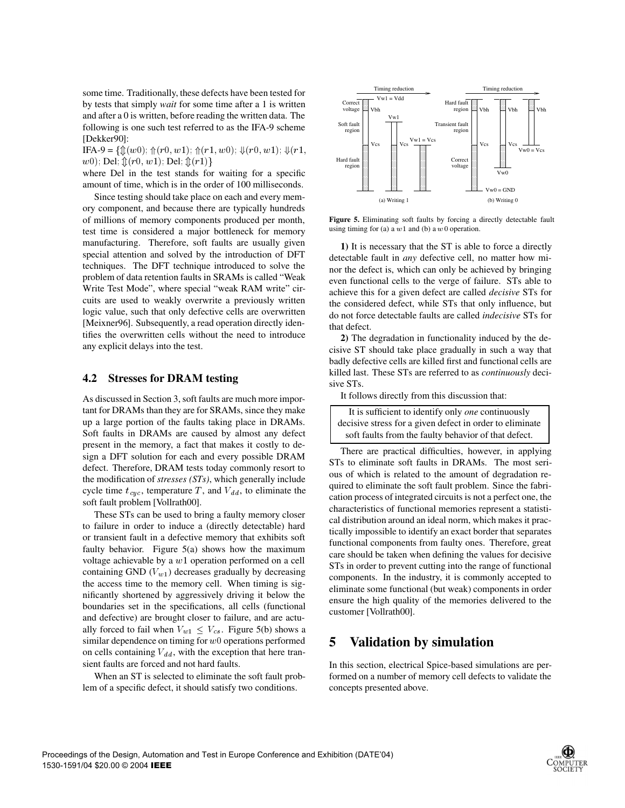some time. Traditionally, these defects have been tested for by tests that simply *wait* for some time after a 1 is written and after a 0 is written, before reading the written data. The following is one such test referred to as the IFA-9 scheme [Dekker90]:

IFA-9 = { $\mathcal{D}(w0)$ ;  $\mathcal{D}(r0, w1)$ ;  $\mathcal{D}(r1, w0)$ ;  $\mathcal{D}(r0, w1)$ ;  $\mathcal{D}(r1, w1)$  $(w0)$ ; Del;  $\mathcal{L}(r0, w1)$ ; Del;  $\mathcal{L}(r1)$ and the contract of the contract of the contract of the contract of the contract of the contract of the contract of the contract of the contract of the contract of the contract of the contract of the contract of the contra

where Del in the test stands for waiting for a specific amount of time, which is in the order of 100 milliseconds.

Since testing should take place on each and every memory component, and because there are typically hundreds of millions of memory components produced per month, test time is considered a major bottleneck for memory manufacturing. Therefore, soft faults are usually given special attention and solved by the introduction of DFT techniques. The DFT technique introduced to solve the problem of data retention faults in SRAMs is called "Weak Write Test Mode", where special "weak RAM write" circuits are used to weakly overwrite a previously written logic value, such that only defective cells are overwritten [Meixner96]. Subsequently, a read operation directly identifies the overwritten cells without the need to introduce any explicit delays into the test.

## **4.2 Stresses for DRAM testing**

As discussed in Section 3, soft faults are much more important for DRAMs than they are for SRAMs, since they make up a large portion of the faults taking place in DRAMs. Soft faults in DRAMs are caused by almost any defect present in the memory, a fact that makes it costly to design a DFT solution for each and every possible DRAM defect. Therefore, DRAM tests today commonly resort to the modification of *stresses (STs)*, which generally include cycle time  $t_{cyc}$ , temperature T, and  $V_{dd}$ , to eliminate the soft fault problem [Vollrath00].

These STs can be used to bring a faulty memory closer to failure in order to induce a (directly detectable) hard or transient fault in a defective memory that exhibits soft faulty behavior. Figure 5(a) shows how the maximum voltage achievable by a  $w1$  operation performed on a cell containing GND  $(V_{w1})$  decreases gradually by decreasing the access time to the memory cell. When timing is significantly shortened by aggressively driving it below the boundaries set in the specifications, all cells (functional and defective) are brought closer to failure, and are actually forced to fail when  $V_{w1} \leq V_{cs}$ . Figure 5(b) shows a similar dependence on timing for  $w0$  operations performed on cells containing  $V_{dd}$ , with the exception that here transient faults are forced and not hard faults.

When an ST is selected to eliminate the soft fault problem of a specific defect, it should satisfy two conditions.



**Figure 5.** Eliminating soft faults by forcing a directly detectable fault using timing for (a) a  $w1$  and (b) a  $w0$  operation.

**1)** It is necessary that the ST is able to force a directly detectable fault in *any* defective cell, no matter how minor the defect is, which can only be achieved by bringing even functional cells to the verge of failure. STs able to achieve this for a given defect are called *decisive* STs for the considered defect, while STs that only influence, but do not force detectable faults are called *indecisive* STs for that defect.

**2)** The degradation in functionality induced by the decisive ST should take place gradually in such a way that badly defective cells are killed first and functional cells are killed last. These STs are referred to as *continuously* decisive STs.

It follows directly from this discussion that:

| It is sufficient to identify only <i>one</i> continuously |
|-----------------------------------------------------------|
| decisive stress for a given defect in order to eliminate  |
| soft faults from the faulty behavior of that defect.      |

There are practical difficulties, however, in applying STs to eliminate soft faults in DRAMs. The most serious of which is related to the amount of degradation required to eliminate the soft fault problem. Since the fabrication process of integrated circuits is not a perfect one, the characteristics of functional memories represent a statistical distribution around an ideal norm, which makes it practically impossible to identify an exact border that separates functional components from faulty ones. Therefore, great care should be taken when defining the values for decisive STs in order to prevent cutting into the range of functional components. In the industry, it is commonly accepted to eliminate some functional (but weak) components in order ensure the high quality of the memories delivered to the customer [Vollrath00].

# **5 Validation by simulation**

In this section, electrical Spice-based simulations are performed on a number of memory cell defects to validate the concepts presented above.